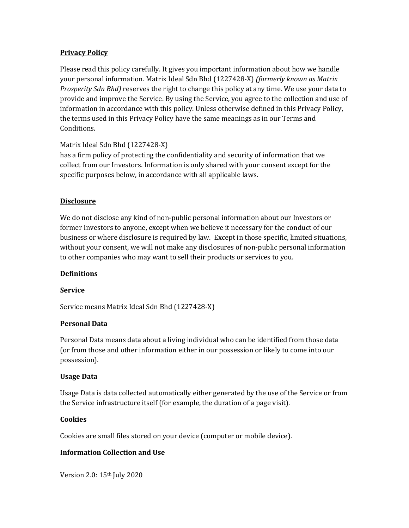## **Privacy Policy**

Please read this policy carefully. It gives you important information about how we handle your personal information. Matrix Ideal Sdn Bhd (1227428-X) *(formerly known as Matrix Prosperity Sdn Bhd)* reserves the right to change this policy at any time. We use your data to provide and improve the Service. By using the Service, you agree to the collection and use of information in accordance with this policy. Unless otherwise defined in this Privacy Policy, the terms used in this Privacy Policy have the same meanings as in our Terms and Conditions.

## Matrix Ideal Sdn Bhd (1227428-X)

has a firm policy of protecting the confidentiality and security of information that we collect from our Investors. Information is only shared with your consent except for the specific purposes below, in accordance with all applicable laws.

## **Disclosure**

We do not disclose any kind of non-public personal information about our Investors or former Investors to anyone, except when we believe it necessary for the conduct of our business or where disclosure is required by law. Except in those specific, limited situations, without your consent, we will not make any disclosures of non-public personal information to other companies who may want to sell their products or services to you.

## **Definitions**

#### **Service**

Service means Matrix Ideal Sdn Bhd (1227428-X)

## **Personal Data**

Personal Data means data about a living individual who can be identified from those data (or from those and other information either in our possession or likely to come into our possession).

## **Usage Data**

Usage Data is data collected automatically either generated by the use of the Service or from the Service infrastructure itself (for example, the duration of a page visit).

## **Cookies**

Cookies are small files stored on your device (computer or mobile device).

## **Information Collection and Use**

Version 2.0: 15th July 2020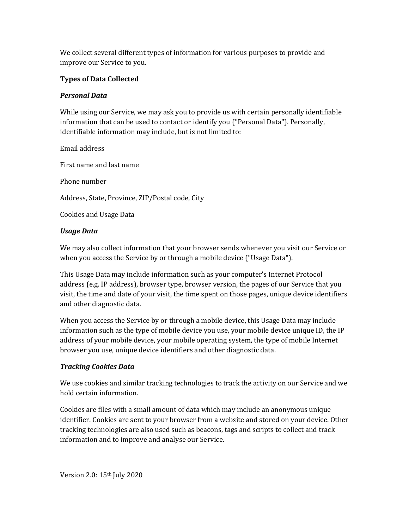We collect several different types of information for various purposes to provide and improve our Service to you.

# **Types of Data Collected**

# *Personal Data*

While using our Service, we may ask you to provide us with certain personally identifiable information that can be used to contact or identify you ("Personal Data"). Personally, identifiable information may include, but is not limited to:

Email address

First name and last name

Phone number

Address, State, Province, ZIP/Postal code, City

Cookies and Usage Data

## *Usage Data*

We may also collect information that your browser sends whenever you visit our Service or when you access the Service by or through a mobile device ("Usage Data").

This Usage Data may include information such as your computer's Internet Protocol address (e.g. IP address), browser type, browser version, the pages of our Service that you visit, the time and date of your visit, the time spent on those pages, unique device identifiers and other diagnostic data.

When you access the Service by or through a mobile device, this Usage Data may include information such as the type of mobile device you use, your mobile device unique ID, the IP address of your mobile device, your mobile operating system, the type of mobile Internet browser you use, unique device identifiers and other diagnostic data.

# *Tracking Cookies Data*

We use cookies and similar tracking technologies to track the activity on our Service and we hold certain information.

Cookies are files with a small amount of data which may include an anonymous unique identifier. Cookies are sent to your browser from a website and stored on your device. Other tracking technologies are also used such as beacons, tags and scripts to collect and track information and to improve and analyse our Service.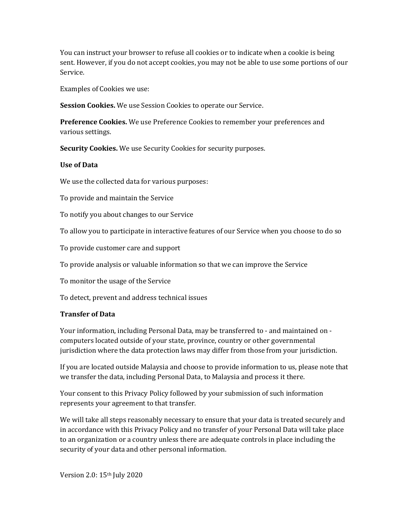You can instruct your browser to refuse all cookies or to indicate when a cookie is being sent. However, if you do not accept cookies, you may not be able to use some portions of our Service.

Examples of Cookies we use:

**Session Cookies.** We use Session Cookies to operate our Service.

**Preference Cookies.** We use Preference Cookies to remember your preferences and various settings.

**Security Cookies.** We use Security Cookies for security purposes.

### **Use of Data**

We use the collected data for various purposes:

To provide and maintain the Service

To notify you about changes to our Service

To allow you to participate in interactive features of our Service when you choose to do so

To provide customer care and support

To provide analysis or valuable information so that we can improve the Service

To monitor the usage of the Service

To detect, prevent and address technical issues

#### **Transfer of Data**

Your information, including Personal Data, may be transferred to - and maintained on computers located outside of your state, province, country or other governmental jurisdiction where the data protection laws may differ from those from your jurisdiction.

If you are located outside Malaysia and choose to provide information to us, please note that we transfer the data, including Personal Data, to Malaysia and process it there.

Your consent to this Privacy Policy followed by your submission of such information represents your agreement to that transfer.

We will take all steps reasonably necessary to ensure that your data is treated securely and in accordance with this Privacy Policy and no transfer of your Personal Data will take place to an organization or a country unless there are adequate controls in place including the security of your data and other personal information.

Version 2.0: 15th July 2020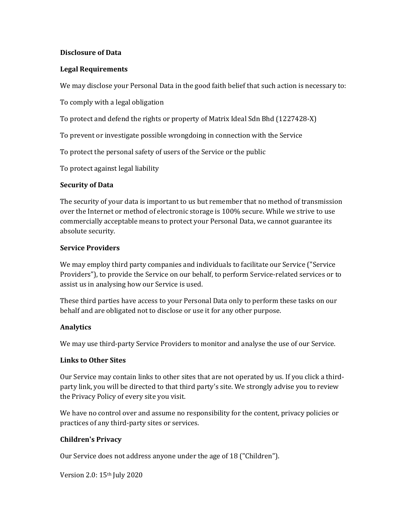### **Disclosure of Data**

### **Legal Requirements**

We may disclose your Personal Data in the good faith belief that such action is necessary to:

To comply with a legal obligation

To protect and defend the rights or property of Matrix Ideal Sdn Bhd (1227428-X)

To prevent or investigate possible wrongdoing in connection with the Service

To protect the personal safety of users of the Service or the public

To protect against legal liability

### **Security of Data**

The security of your data is important to us but remember that no method of transmission over the Internet or method of electronic storage is 100% secure. While we strive to use commercially acceptable means to protect your Personal Data, we cannot guarantee its absolute security.

### **Service Providers**

We may employ third party companies and individuals to facilitate our Service ("Service Providers"), to provide the Service on our behalf, to perform Service-related services or to assist us in analysing how our Service is used.

These third parties have access to your Personal Data only to perform these tasks on our behalf and are obligated not to disclose or use it for any other purpose.

## **Analytics**

We may use third-party Service Providers to monitor and analyse the use of our Service.

#### **Links to Other Sites**

Our Service may contain links to other sites that are not operated by us. If you click a thirdparty link, you will be directed to that third party's site. We strongly advise you to review the Privacy Policy of every site you visit.

We have no control over and assume no responsibility for the content, privacy policies or practices of any third-party sites or services.

#### **Children's Privacy**

Our Service does not address anyone under the age of 18 ("Children").

Version 2.0: 15th July 2020